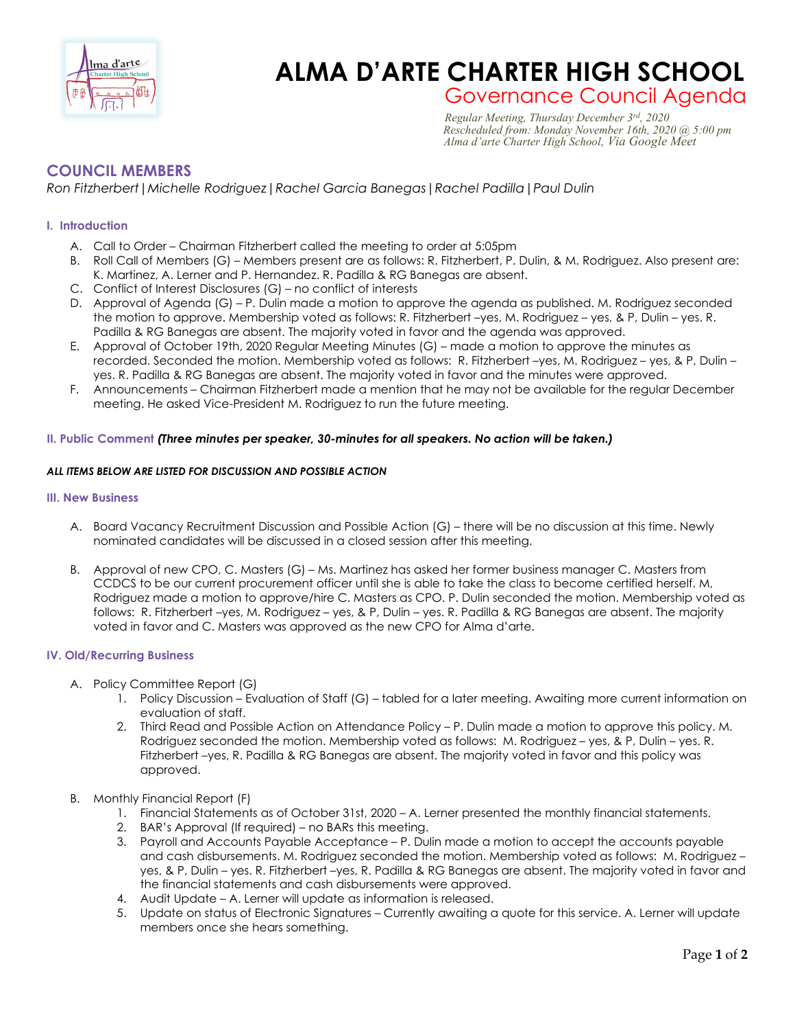

# **Charles Charles CHARTER HIGH SCHOOL**

## Governance Council Agenda *Regular Meeting, Thursday December 3rd, 2020 Rescheduled from: Monday November 16th, 2020 @ 5:00 pm Alma d'arte Charter High School, Via Google Meet*

### **COUNCIL MEMBERS**

*Ron Fitzherbert|Michelle Rodriguez|Rachel Garcia Banegas|Rachel Padilla|Paul Dulin*

#### **I. Introduction**

- A. Call to Order Chairman Fitzherbert called the meeting to order at 5:05pm
- B. Roll Call of Members (G) Members present are as follows: R. Fitzherbert, P. Dulin, & M. Rodriguez. Also present are: K. Martinez, A. Lerner and P. Hernandez. R. Padilla & RG Banegas are absent.
- C. Conflict of Interest Disclosures (G) no conflict of interests
- D. Approval of Agenda (G) P. Dulin made a motion to approve the agenda as published. M. Rodriguez seconded the motion to approve. Membership voted as follows: R. Fitzherbert –yes, M. Rodriguez – yes, & P, Dulin – yes. R. Padilla & RG Banegas are absent. The majority voted in favor and the agenda was approved.
- E. Approval of October 19th, 2020 Regular Meeting Minutes (G) made a motion to approve the minutes as recorded. Seconded the motion. Membership voted as follows: R. Fitzherbert –yes, M. Rodriguez – yes, & P, Dulin – yes. R. Padilla & RG Banegas are absent. The majority voted in favor and the minutes were approved.
- F. Announcements Chairman Fitzherbert made a mention that he may not be available for the regular December meeting. He asked Vice-President M. Rodriguez to run the future meeting.

#### **II. Public Comment** *(Three minutes per speaker, 30-minutes for all speakers. No action will be taken.)*

#### *ALL ITEMS BELOW ARE LISTED FOR DISCUSSION AND POSSIBLE ACTION*

#### **III. New Business**

- A. Board Vacancy Recruitment Discussion and Possible Action (G) there will be no discussion at this time. Newly nominated candidates will be discussed in a closed session after this meeting.
- B. Approval of new CPO, C. Masters (G) Ms. Martinez has asked her former business manager C. Masters from CCDCS to be our current procurement officer until she is able to take the class to become certified herself. M, Rodriguez made a motion to approve/hire C. Masters as CPO. P. Dulin seconded the motion. Membership voted as follows: R. Fitzherbert –yes, M. Rodriguez – yes, & P, Dulin – yes. R. Padilla & RG Banegas are absent. The majority voted in favor and C. Masters was approved as the new CPO for Alma d'arte.

#### **IV. Old/Recurring Business**

- A. Policy Committee Report (G)
	- 1. Policy Discussion Evaluation of Staff (G) tabled for a later meeting. Awaiting more current information on evaluation of staff.
	- 2. Third Read and Possible Action on Attendance Policy P. Dulin made a motion to approve this policy. M. Rodriguez seconded the motion. Membership voted as follows: M. Rodriguez – yes, & P, Dulin – yes. R. Fitzherbert –yes, R. Padilla & RG Banegas are absent. The majority voted in favor and this policy was approved.
- B. Monthly Financial Report (F)
	- 1. Financial Statements as of October 31st, 2020 A. Lerner presented the monthly financial statements.
	- 2. BAR's Approval (If required) no BARs this meeting.
	- 3. Payroll and Accounts Payable Acceptance P. Dulin made a motion to accept the accounts payable and cash disbursements. M. Rodriguez seconded the motion. Membership voted as follows: M. Rodriguez – yes, & P, Dulin – yes. R. Fitzherbert –yes, R. Padilla & RG Banegas are absent. The majority voted in favor and the financial statements and cash disbursements were approved.
	- 4. Audit Update A. Lerner will update as information is released.
	- 5. Update on status of Electronic Signatures Currently awaiting a quote for this service. A. Lerner will update members once she hears something.